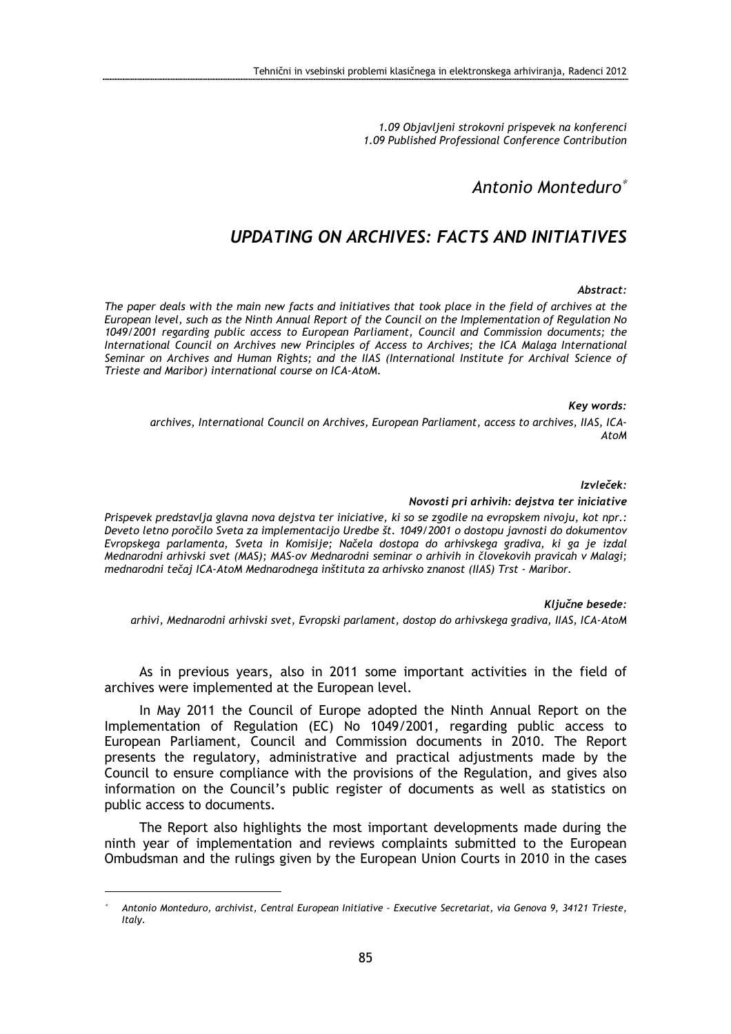1.09 Objavljeni strokovni prispevek na konferenci 1.09 Published Professional Conference Contribution

## Antonio Monteduro<sup>∗</sup>

# UPDATING ON ARCHIVES: FACTS AND INITIATIVES

#### Abstract:

The paper deals with the main new facts and initiatives that took place in the field of archives at the European level, such as the Ninth Annual Report of the Council on the Implementation of Regulation No 1049/2001 regarding public access to European Parliament, Council and Commission documents; the International Council on Archives new Principles of Access to Archives; the ICA Malaga International Seminar on Archives and Human Rights; and the IIAS (International Institute for Archival Science of Trieste and Maribor) international course on ICA-AtoM.

Key words:

archives, International Council on Archives, European Parliament, access to archives, IIAS, ICA-AtoM

Izvleček:

#### Novosti pri arhivih: dejstva ter iniciative

Prispevek predstavlja glavna nova dejstva ter iniciative, ki so se zgodile na evropskem nivoju, kot npr.: Deveto letno poročilo Sveta za implementacijo Uredbe št. 1049/2001 o dostopu javnosti do dokumentov Evropskega parlamenta, Sveta in Komisije; Načela dostopa do arhivskega gradiva, ki ga je izdal Mednarodni arhivski svet (MAS); MAS-ov Mednarodni seminar o arhivih in človekovih pravicah v Malagi; mednarodni tečaj ICA-AtoM Mednarodnega inštituta za arhivsko znanost (IIAS) Trst - Maribor.

Ključne besede:

arhivi, Mednarodni arhivski svet, Evropski parlament, dostop do arhivskega gradiva, IIAS, ICA-AtoM

As in previous years, also in 2011 some important activities in the field of archives were implemented at the European level.

In May 2011 the Council of Europe adopted the Ninth Annual Report on the Implementation of Regulation (EC) No 1049/2001, regarding public access to European Parliament, Council and Commission documents in 2010. The Report presents the regulatory, administrative and practical adjustments made by the Council to ensure compliance with the provisions of the Regulation, and gives also information on the Council's public register of documents as well as statistics on public access to documents.

The Report also highlights the most important developments made during the ninth year of implementation and reviews complaints submitted to the European Ombudsman and the rulings given by the European Union Courts in 2010 in the cases

 $\overline{a}$ 

<sup>∗</sup> Antonio Monteduro, archivist, Central European Initiative – Executive Secretariat, via Genova 9, 34121 Trieste, Italy.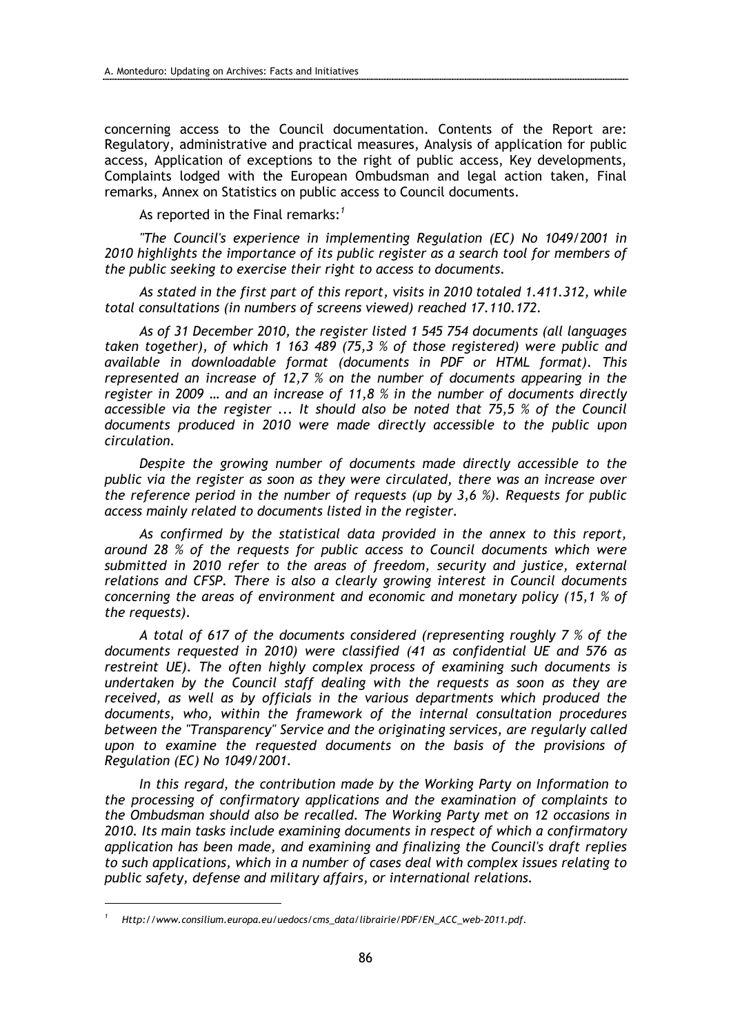concerning access to the Council documentation. Contents of the Report are: Regulatory, administrative and practical measures, Analysis of application for public access, Application of exceptions to the right of public access, Key developments, Complaints lodged with the European Ombudsman and legal action taken, Final remarks, Annex on Statistics on public access to Council documents.

As reported in the Final remarks: $^{\prime}$ 

"The Council's experience in implementing Regulation (EC) No 1049/2001 in 2010 highlights the importance of its public register as a search tool for members of the public seeking to exercise their right to access to documents.

As stated in the first part of this report, visits in 2010 totaled 1.411.312, while total consultations (in numbers of screens viewed) reached 17.110.172.

As of 31 December 2010, the register listed 1 545 754 documents (all languages taken together), of which 1 163 489 (75,3 % of those registered) were public and available in downloadable format (documents in PDF or HTML format). This represented an increase of 12,7 % on the number of documents appearing in the register in 2009 … and an increase of 11,8 % in the number of documents directly accessible via the register ... It should also be noted that 75,5 % of the Council documents produced in 2010 were made directly accessible to the public upon circulation.

Despite the growing number of documents made directly accessible to the public via the register as soon as they were circulated, there was an increase over the reference period in the number of requests (up by 3,6 %). Requests for public access mainly related to documents listed in the register.

As confirmed by the statistical data provided in the annex to this report, around 28 % of the requests for public access to Council documents which were submitted in 2010 refer to the areas of freedom, security and justice, external relations and CFSP. There is also a clearly growing interest in Council documents concerning the areas of environment and economic and monetary policy (15,1 % of the requests).

A total of 617 of the documents considered (representing roughly 7 % of the documents requested in 2010) were classified (41 as confidential UE and 576 as restreint UE). The often highly complex process of examining such documents is undertaken by the Council staff dealing with the requests as soon as they are received, as well as by officials in the various departments which produced the documents, who, within the framework of the internal consultation procedures between the "Transparency" Service and the originating services, are regularly called upon to examine the requested documents on the basis of the provisions of Regulation (EC) No 1049/2001.

In this regard, the contribution made by the Working Party on Information to the processing of confirmatory applications and the examination of complaints to the Ombudsman should also be recalled. The Working Party met on 12 occasions in 2010. Its main tasks include examining documents in respect of which a confirmatory application has been made, and examining and finalizing the Council's draft replies to such applications, which in a number of cases deal with complex issues relating to public safety, defense and military affairs, or international relations.

 $\overline{a}$ 

<sup>1</sup> Http://www.consilium.europa.eu/uedocs/cms\_data/librairie/PDF/EN\_ACC\_web-2011.pdf.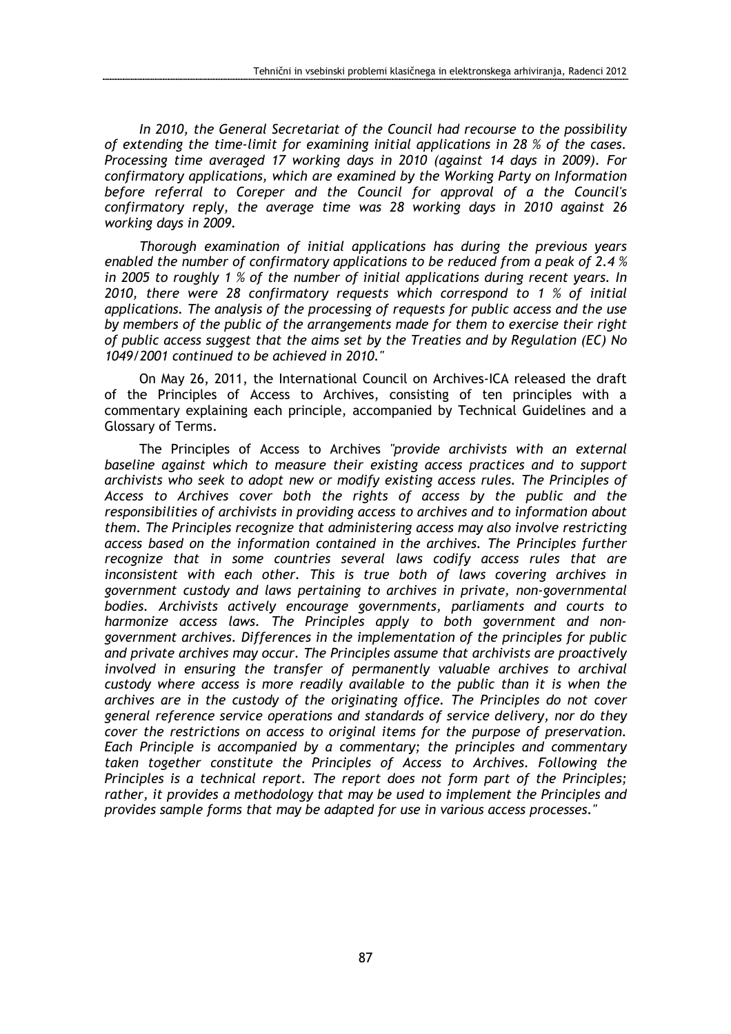In 2010, the General Secretariat of the Council had recourse to the possibility of extending the time-limit for examining initial applications in 28 % of the cases. Processing time averaged 17 working days in 2010 (against 14 days in 2009). For confirmatory applications, which are examined by the Working Party on Information before referral to Coreper and the Council for approval of a the Council's confirmatory reply, the average time was 28 working days in 2010 against 26 working days in 2009.

Thorough examination of initial applications has during the previous years enabled the number of confirmatory applications to be reduced from a peak of 2.4 % in 2005 to roughly 1 % of the number of initial applications during recent years. In 2010, there were 28 confirmatory requests which correspond to 1 % of initial applications. The analysis of the processing of requests for public access and the use by members of the public of the arrangements made for them to exercise their right of public access suggest that the aims set by the Treaties and by Regulation (EC) No 1049/2001 continued to be achieved in 2010."

On May 26, 2011, the International Council on Archives-ICA released the draft of the Principles of Access to Archives, consisting of ten principles with a commentary explaining each principle, accompanied by Technical Guidelines and a Glossary of Terms.

The Principles of Access to Archives "provide archivists with an external baseline against which to measure their existing access practices and to support archivists who seek to adopt new or modify existing access rules. The Principles of Access to Archives cover both the rights of access by the public and the responsibilities of archivists in providing access to archives and to information about them. The Principles recognize that administering access may also involve restricting access based on the information contained in the archives. The Principles further recognize that in some countries several laws codify access rules that are inconsistent with each other. This is true both of laws covering archives in government custody and laws pertaining to archives in private, non-governmental bodies. Archivists actively encourage governments, parliaments and courts to harmonize access laws. The Principles apply to both government and nongovernment archives. Differences in the implementation of the principles for public and private archives may occur. The Principles assume that archivists are proactively involved in ensuring the transfer of permanently valuable archives to archival custody where access is more readily available to the public than it is when the archives are in the custody of the originating office. The Principles do not cover general reference service operations and standards of service delivery, nor do they cover the restrictions on access to original items for the purpose of preservation. Each Principle is accompanied by a commentary; the principles and commentary taken together constitute the Principles of Access to Archives. Following the Principles is a technical report. The report does not form part of the Principles; rather, it provides a methodology that may be used to implement the Principles and provides sample forms that may be adapted for use in various access processes."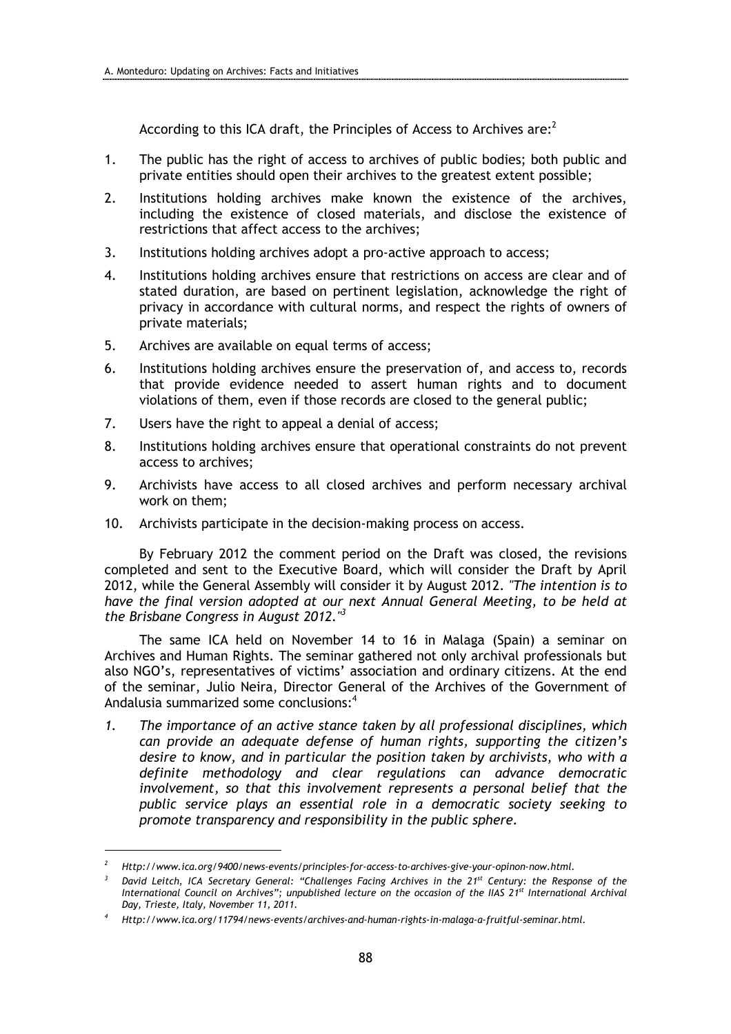According to this ICA draft, the Principles of Access to Archives are: $^2$ 

- 1. The public has the right of access to archives of public bodies; both public and private entities should open their archives to the greatest extent possible;
- 2. Institutions holding archives make known the existence of the archives, including the existence of closed materials, and disclose the existence of restrictions that affect access to the archives;
- 3. Institutions holding archives adopt a pro-active approach to access;
- 4. Institutions holding archives ensure that restrictions on access are clear and of stated duration, are based on pertinent legislation, acknowledge the right of privacy in accordance with cultural norms, and respect the rights of owners of private materials;
- 5. Archives are available on equal terms of access;
- 6. Institutions holding archives ensure the preservation of, and access to, records that provide evidence needed to assert human rights and to document violations of them, even if those records are closed to the general public;
- 7. Users have the right to appeal a denial of access;
- 8. Institutions holding archives ensure that operational constraints do not prevent access to archives;
- 9. Archivists have access to all closed archives and perform necessary archival work on them;
- 10. Archivists participate in the decision-making process on access.

By February 2012 the comment period on the Draft was closed, the revisions completed and sent to the Executive Board, which will consider the Draft by April 2012, while the General Assembly will consider it by August 2012. "The intention is to have the final version adopted at our next Annual General Meeting, to be held at the Brisbane Congress in August 2012. $3^3$ 

The same ICA held on November 14 to 16 in Malaga (Spain) a seminar on Archives and Human Rights. The seminar gathered not only archival professionals but also NGO's, representatives of victims' association and ordinary citizens. At the end of the seminar, Julio Neira, Director General of the Archives of the Government of Andalusia summarized some conclusions: $4$ 

1. The importance of an active stance taken by all professional disciplines, which can provide an adequate defense of human rights, supporting the citizen's desire to know, and in particular the position taken by archivists, who with a definite methodology and clear regulations can advance democratic involvement, so that this involvement represents a personal belief that the public service plays an essential role in a democratic society seeking to promote transparency and responsibility in the public sphere.

 $\overline{a}$ 

<sup>2</sup> Http://www.ica.org/9400/news-events/principles-for-access-to-archives-give-your-opinon-now.html.

 $^3$  David Leitch, ICA Secretary General: "Challenges Facing Archives in the 21 $^{\rm st}$  Century: the Response of the International Council on Archives"; unpublished lecture on the occasion of the IIAS 21<sup>st</sup> International Archival Day, Trieste, Italy, November 11, 2011.

<sup>4</sup> Http://www.ica.org/11794/news-events/archives-and-human-rights-in-malaga-a-fruitful-seminar.html.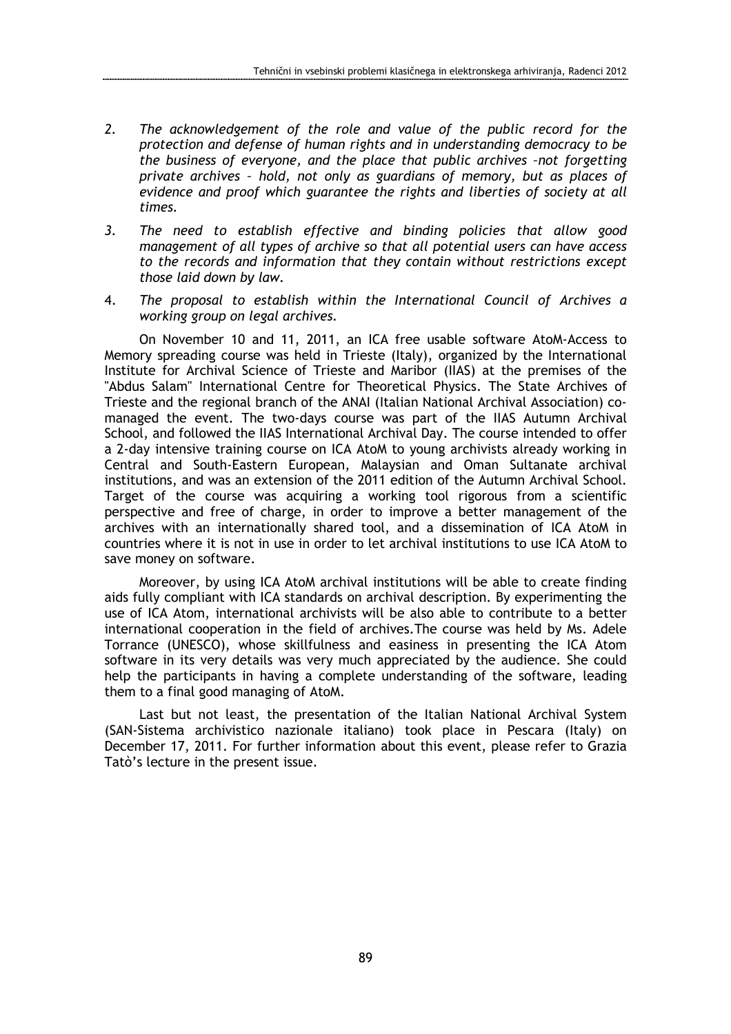- 2. The acknowledgement of the role and value of the public record for the protection and defense of human rights and in understanding democracy to be the business of everyone, and the place that public archives –not forgetting private archives – hold, not only as guardians of memory, but as places of evidence and proof which guarantee the rights and liberties of society at all times.
- 3. The need to establish effective and binding policies that allow good management of all types of archive so that all potential users can have access to the records and information that they contain without restrictions except those laid down by law.
- 4. The proposal to establish within the International Council of Archives a working group on legal archives.

On November 10 and 11, 2011, an ICA free usable software AtoM-Access to Memory spreading course was held in Trieste (Italy), organized by the International Institute for Archival Science of Trieste and Maribor (IIAS) at the premises of the "Abdus Salam" International Centre for Theoretical Physics. The State Archives of Trieste and the regional branch of the ANAI (Italian National Archival Association) comanaged the event. The two-days course was part of the IIAS Autumn Archival School, and followed the IIAS International Archival Day. The course intended to offer a 2-day intensive training course on ICA AtoM to young archivists already working in Central and South-Eastern European, Malaysian and Oman Sultanate archival institutions, and was an extension of the 2011 edition of the Autumn Archival School. Target of the course was acquiring a working tool rigorous from a scientific perspective and free of charge, in order to improve a better management of the archives with an internationally shared tool, and a dissemination of ICA AtoM in countries where it is not in use in order to let archival institutions to use ICA AtoM to save money on software.

Moreover, by using ICA AtoM archival institutions will be able to create finding aids fully compliant with ICA standards on archival description. By experimenting the use of ICA Atom, international archivists will be also able to contribute to a better international cooperation in the field of archives.The course was held by Ms. Adele Torrance (UNESCO), whose skillfulness and easiness in presenting the ICA Atom software in its very details was very much appreciated by the audience. She could help the participants in having a complete understanding of the software, leading them to a final good managing of AtoM.

Last but not least, the presentation of the Italian National Archival System (SAN-Sistema archivistico nazionale italiano) took place in Pescara (Italy) on December 17, 2011. For further information about this event, please refer to Grazia Tatò's lecture in the present issue.